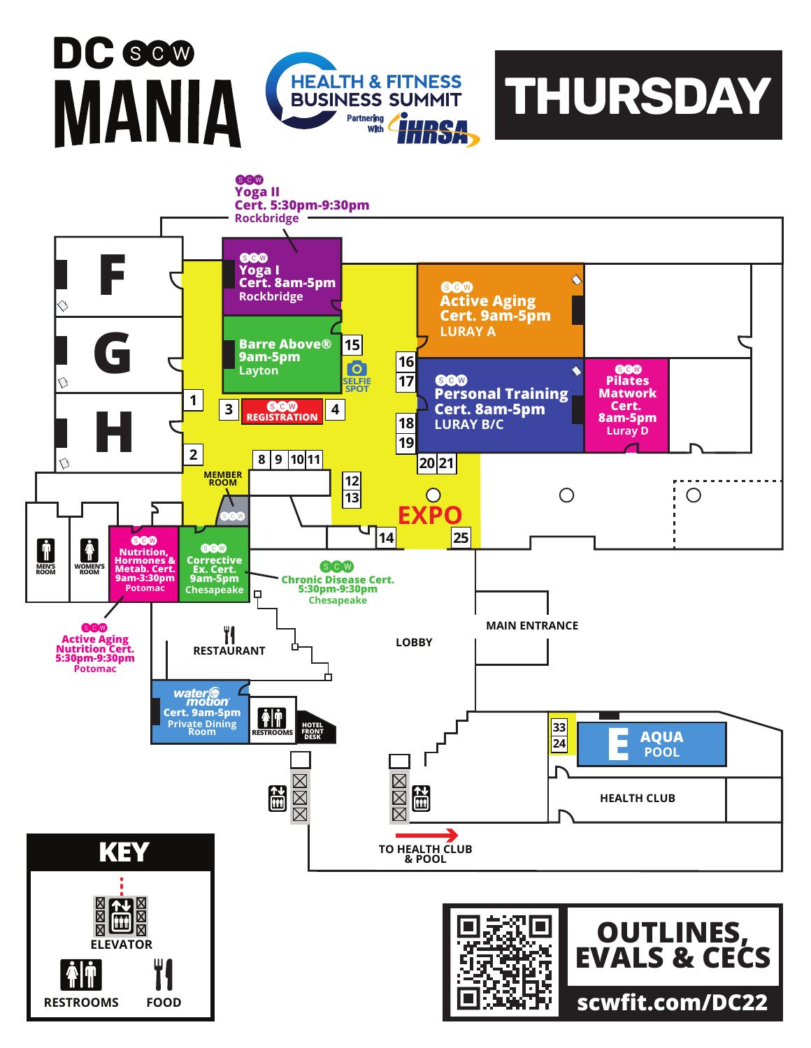## **DC** MANIA



**THURSDAY**